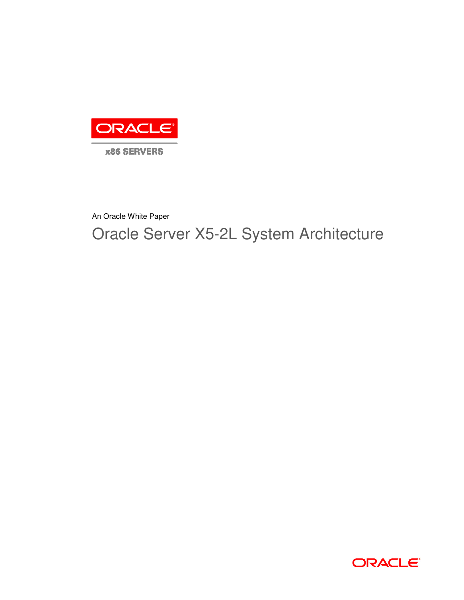

An Oracle White Paper

Oracle Server X5-2L System Architecture

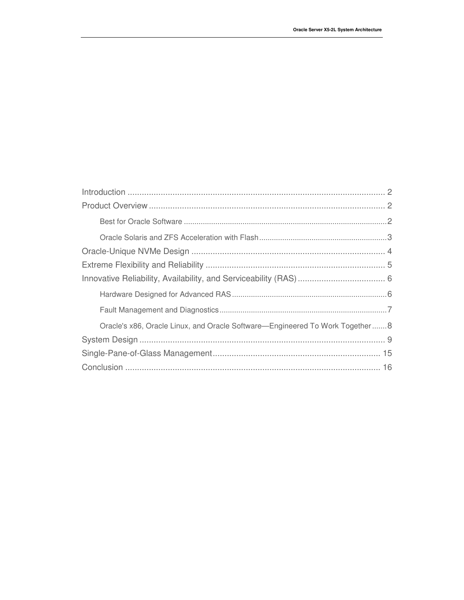| Oracle's x86, Oracle Linux, and Oracle Software—Engineered To Work Together 8 |  |
|-------------------------------------------------------------------------------|--|
|                                                                               |  |
|                                                                               |  |
|                                                                               |  |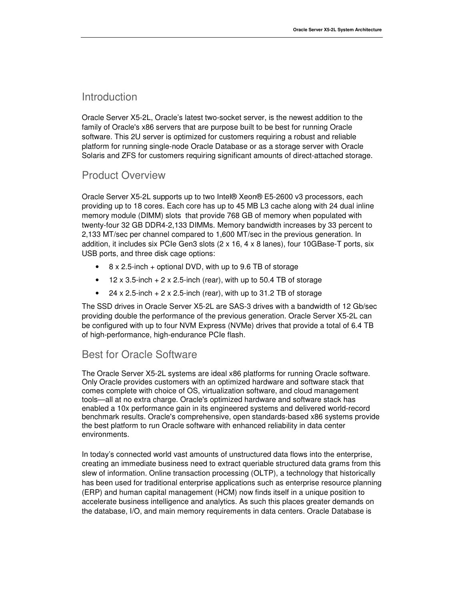#### Introduction

Oracle Server X5-2L, Oracle's latest two-socket server, is the newest addition to the family of Oracle's x86 servers that are purpose built to be best for running Oracle software. This 2U server is optimized for customers requiring a robust and reliable platform for running single-node Oracle Database or as a storage server with Oracle Solaris and ZFS for customers requiring significant amounts of direct-attached storage.

#### Product Overview

Oracle Server X5-2L supports up to two Intel® Xeon® E5-2600 v3 processors, each providing up to 18 cores. Each core has up to 45 MB L3 cache along with 24 dual inline memory module (DIMM) slots that provide 768 GB of memory when populated with twenty-four 32 GB DDR4-2,133 DIMMs. Memory bandwidth increases by 33 percent to 2,133 MT/sec per channel compared to 1,600 MT/sec in the previous generation. In addition, it includes six PCIe Gen3 slots (2 x 16, 4 x 8 lanes), four 10GBase-T ports, six USB ports, and three disk cage options:

- 8 x 2.5-inch + optional DVD, with up to 9.6 TB of storage
- $\bullet$  12 x 3.5-inch  $+$  2 x 2.5-inch (rear), with up to 50.4 TB of storage
- 24 x 2.5-inch  $+ 2x$  2.5-inch (rear), with up to 31.2 TB of storage

The SSD drives in Oracle Server X5-2L are SAS-3 drives with a bandwidth of 12 Gb/sec providing double the performance of the previous generation. Oracle Server X5-2L can be configured with up to four NVM Express (NVMe) drives that provide a total of 6.4 TB of high-performance, high-endurance PCIe flash.

### Best for Oracle Software

The Oracle Server X5-2L systems are ideal x86 platforms for running Oracle software. Only Oracle provides customers with an optimized hardware and software stack that comes complete with choice of OS, virtualization software, and cloud management tools—all at no extra charge. Oracle's optimized hardware and software stack has enabled a 10x performance gain in its engineered systems and delivered world-record benchmark results. Oracle's comprehensive, open standards-based x86 systems provide the best platform to run Oracle software with enhanced reliability in data center environments.

In today's connected world vast amounts of unstructured data flows into the enterprise, creating an immediate business need to extract queriable structured data grams from this slew of information. Online transaction processing (OLTP), a technology that historically has been used for traditional enterprise applications such as enterprise resource planning (ERP) and human capital management (HCM) now finds itself in a unique position to accelerate business intelligence and analytics. As such this places greater demands on the database, I/O, and main memory requirements in data centers. Oracle Database is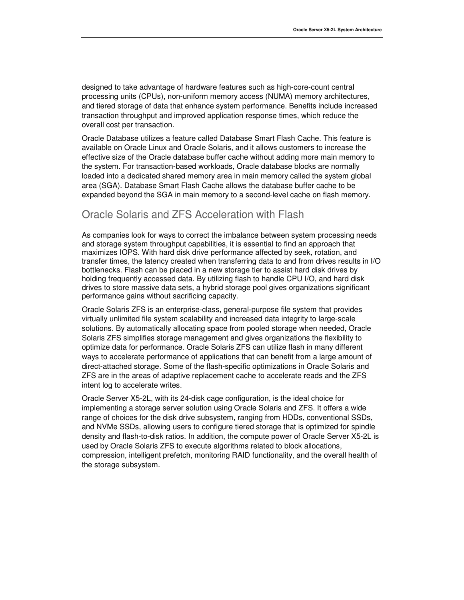designed to take advantage of hardware features such as high-core-count central processing units (CPUs), non-uniform memory access (NUMA) memory architectures, and tiered storage of data that enhance system performance. Benefits include increased transaction throughput and improved application response times, which reduce the overall cost per transaction.

Oracle Database utilizes a feature called Database Smart Flash Cache. This feature is available on Oracle Linux and Oracle Solaris, and it allows customers to increase the effective size of the Oracle database buffer cache without adding more main memory to the system. For transaction-based workloads, Oracle database blocks are normally loaded into a dedicated shared memory area in main memory called the system global area (SGA). Database Smart Flash Cache allows the database buffer cache to be expanded beyond the SGA in main memory to a second-level cache on flash memory.

### Oracle Solaris and ZFS Acceleration with Flash

As companies look for ways to correct the imbalance between system processing needs and storage system throughput capabilities, it is essential to find an approach that maximizes IOPS. With hard disk drive performance affected by seek, rotation, and transfer times, the latency created when transferring data to and from drives results in I/O bottlenecks. Flash can be placed in a new storage tier to assist hard disk drives by holding frequently accessed data. By utilizing flash to handle CPU I/O, and hard disk drives to store massive data sets, a hybrid storage pool gives organizations significant performance gains without sacrificing capacity.

Oracle Solaris ZFS is an enterprise-class, general-purpose file system that provides virtually unlimited file system scalability and increased data integrity to large-scale solutions. By automatically allocating space from pooled storage when needed, Oracle Solaris ZFS simplifies storage management and gives organizations the flexibility to optimize data for performance. Oracle Solaris ZFS can utilize flash in many different ways to accelerate performance of applications that can benefit from a large amount of direct-attached storage. Some of the flash-specific optimizations in Oracle Solaris and ZFS are in the areas of adaptive replacement cache to accelerate reads and the ZFS intent log to accelerate writes.

Oracle Server X5-2L, with its 24-disk cage configuration, is the ideal choice for implementing a storage server solution using Oracle Solaris and ZFS. It offers a wide range of choices for the disk drive subsystem, ranging from HDDs, conventional SSDs, and NVMe SSDs, allowing users to configure tiered storage that is optimized for spindle density and flash-to-disk ratios. In addition, the compute power of Oracle Server X5-2L is used by Oracle Solaris ZFS to execute algorithms related to block allocations, compression, intelligent prefetch, monitoring RAID functionality, and the overall health of the storage subsystem.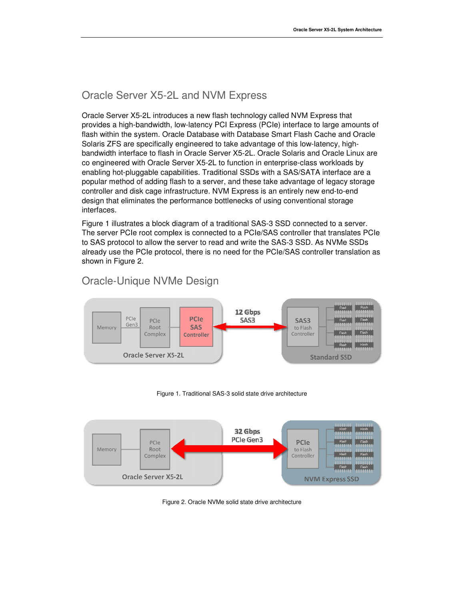# Oracle Server X5-2L and NVM Express

Oracle Server X5-2L introduces a new flash technology called NVM Express that provides a high-bandwidth, low-latency PCI Express (PCIe) interface to large amounts of flash within the system. Oracle Database with Database Smart Flash Cache and Oracle flash within the system. Oracle Database with Database Smart Flash Cache and C<br>Solaris ZFS are specifically engineered to take advantage of this low-latency, high bandwidth interface to flash in Oracle Server X5-2L. Oracle Solaris and Oracle Linux are co engineered with Oracle Server X5-2L to function in enterprise-class workloads by enabling hot-pluggable capabilities. Traditional SSDs with a SAS/SATA interface are popular method of adding flash to a server, and these take advantage of legacy storage enabling hot-pluggable capabilities. Traditional SSDs with a SAS/SATA interface ar<br>popular method of adding flash to a server, and these take advantage of legacy sto<br>controller and disk cage infrastructure. NVM Express is design that eliminates the performance bottlenecks of using conventional storage interfaces. latency PCI Express (PCIe) interface to large amou<br>Database with Database Smart Flash Cache and O<br>ineered to take advantage of this low-latency, high-2L. Oracle Solaris and Oracle Linux ar<br>on in enterprise-class workloads by<br>SDs with a SAS/SATA interface are a

Figure 1 illustrates a block diagram of a traditional SAS-3 SSD connected to a server. The server PCIe root complex is connected to a PCIe/SAS controller that translates PCIe The server PCIe root complex is connected to a PCIe/SAS controller that translates P(<br>to SAS protocol to allow the server to read and write the SAS-3 SSD. As NVMe SSDs already use the PCIe protocol, there is no need for the PCIe/SAS controller translation as shown in Figure 2.

# Oracle-Unique NVMe Design



Figure 1 1. Traditional SAS-3 solid state drive architecture



Figure 2. Oracle NVMe solid state drive architecture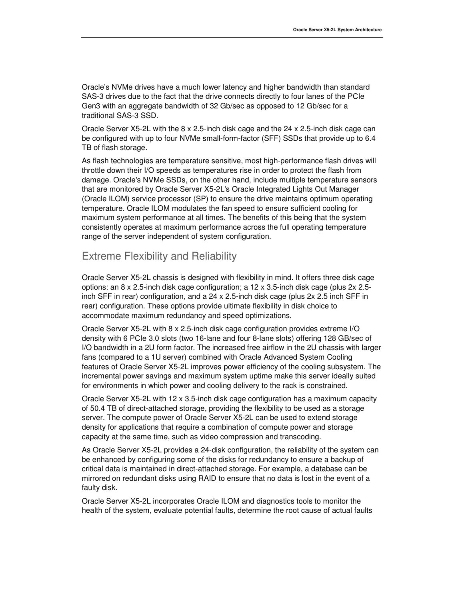Oracle's NVMe drives have a much lower latency and higher bandwidth than standard SAS-3 drives due to the fact that the drive connects directly to four lanes of the PCIe Gen3 with an aggregate bandwidth of 32 Gb/sec as opposed to 12 Gb/sec for a traditional SAS-3 SSD.

Oracle Server X5-2L with the 8 x 2.5-inch disk cage and the 24 x 2.5-inch disk cage can be configured with up to four NVMe small-form-factor (SFF) SSDs that provide up to 6.4 TB of flash storage.

As flash technologies are temperature sensitive, most high-performance flash drives will throttle down their I/O speeds as temperatures rise in order to protect the flash from damage. Oracle's NVMe SSDs, on the other hand, include multiple temperature sensors that are monitored by Oracle Server X5-2L's Oracle Integrated Lights Out Manager (Oracle ILOM) service processor (SP) to ensure the drive maintains optimum operating temperature. Oracle ILOM modulates the fan speed to ensure sufficient cooling for maximum system performance at all times. The benefits of this being that the system consistently operates at maximum performance across the full operating temperature range of the server independent of system configuration.

## Extreme Flexibility and Reliability

Oracle Server X5-2L chassis is designed with flexibility in mind. It offers three disk cage options: an 8 x 2.5-inch disk cage configuration; a 12 x 3.5-inch disk cage (plus 2x 2.5 inch SFF in rear) configuration, and a 24 x 2.5-inch disk cage (plus 2x 2.5 inch SFF in rear) configuration. These options provide ultimate flexibility in disk choice to accommodate maximum redundancy and speed optimizations.

Oracle Server X5-2L with 8 x 2.5-inch disk cage configuration provides extreme I/O density with 6 PCIe 3.0 slots (two 16-lane and four 8-lane slots) offering 128 GB/sec of I/O bandwidth in a 2U form factor. The increased free airflow in the 2U chassis with larger fans (compared to a 1U server) combined with Oracle Advanced System Cooling features of Oracle Server X5-2L improves power efficiency of the cooling subsystem. The incremental power savings and maximum system uptime make this server ideally suited for environments in which power and cooling delivery to the rack is constrained.

Oracle Server X5-2L with 12 x 3.5-inch disk cage configuration has a maximum capacity of 50.4 TB of direct-attached storage, providing the flexibility to be used as a storage server. The compute power of Oracle Server X5-2L can be used to extend storage density for applications that require a combination of compute power and storage capacity at the same time, such as video compression and transcoding.

As Oracle Server X5-2L provides a 24-disk configuration, the reliability of the system can be enhanced by configuring some of the disks for redundancy to ensure a backup of critical data is maintained in direct-attached storage. For example, a database can be mirrored on redundant disks using RAID to ensure that no data is lost in the event of a faulty disk.

Oracle Server X5-2L incorporates Oracle ILOM and diagnostics tools to monitor the health of the system, evaluate potential faults, determine the root cause of actual faults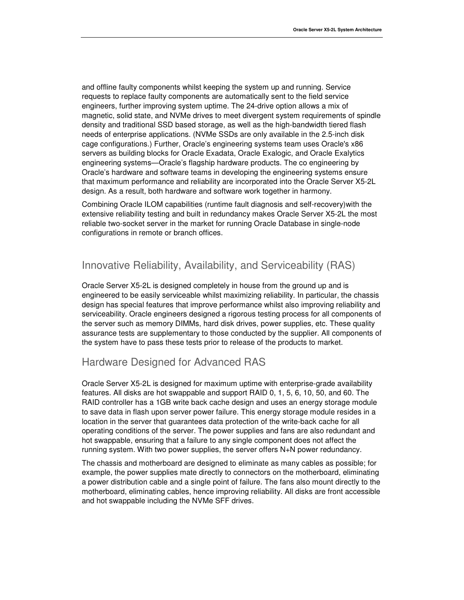and offline faulty components whilst keeping the system up and running. Service requests to replace faulty components are automatically sent to the field service engineers, further improving system uptime. The 24-drive option allows a mix of magnetic, solid state, and NVMe drives to meet divergent system requirements of spindle density and traditional SSD based storage, as well as the high-bandwidth tiered flash needs of enterprise applications. (NVMe SSDs are only available in the 2.5-inch disk cage configurations.) Further, Oracle's engineering systems team uses Oracle's x86 servers as building blocks for Oracle Exadata, Oracle Exalogic, and Oracle Exalytics engineering systems—Oracle's flagship hardware products. The co engineering by Oracle's hardware and software teams in developing the engineering systems ensure that maximum performance and reliability are incorporated into the Oracle Server X5-2L design. As a result, both hardware and software work together in harmony.

Combining Oracle ILOM capabilities (runtime fault diagnosis and self-recovery)with the extensive reliability testing and built in redundancy makes Oracle Server X5-2L the most reliable two-socket server in the market for running Oracle Database in single-node configurations in remote or branch offices.

## Innovative Reliability, Availability, and Serviceability (RAS)

Oracle Server X5-2L is designed completely in house from the ground up and is engineered to be easily serviceable whilst maximizing reliability. In particular, the chassis design has special features that improve performance whilst also improving reliability and serviceability. Oracle engineers designed a rigorous testing process for all components of the server such as memory DIMMs, hard disk drives, power supplies, etc. These quality assurance tests are supplementary to those conducted by the supplier. All components of the system have to pass these tests prior to release of the products to market.

### Hardware Designed for Advanced RAS

Oracle Server X5-2L is designed for maximum uptime with enterprise-grade availability features. All disks are hot swappable and support RAID 0, 1, 5, 6, 10, 50, and 60. The RAID controller has a 1GB write back cache design and uses an energy storage module to save data in flash upon server power failure. This energy storage module resides in a location in the server that guarantees data protection of the write-back cache for all operating conditions of the server. The power supplies and fans are also redundant and hot swappable, ensuring that a failure to any single component does not affect the running system. With two power supplies, the server offers N+N power redundancy.

The chassis and motherboard are designed to eliminate as many cables as possible; for example, the power supplies mate directly to connectors on the motherboard, eliminating a power distribution cable and a single point of failure. The fans also mount directly to the motherboard, eliminating cables, hence improving reliability. All disks are front accessible and hot swappable including the NVMe SFF drives.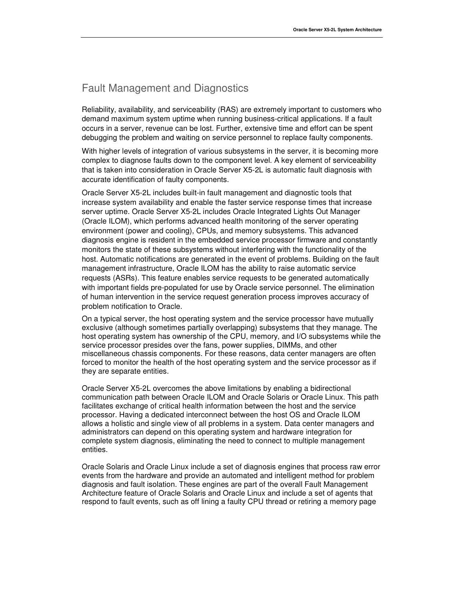## Fault Management and Diagnostics

Reliability, availability, and serviceability (RAS) are extremely important to customers who demand maximum system uptime when running business-critical applications. If a fault occurs in a server, revenue can be lost. Further, extensive time and effort can be spent debugging the problem and waiting on service personnel to replace faulty components.

With higher levels of integration of various subsystems in the server, it is becoming more complex to diagnose faults down to the component level. A key element of serviceability that is taken into consideration in Oracle Server X5-2L is automatic fault diagnosis with accurate identification of faulty components.

Oracle Server X5-2L includes built-in fault management and diagnostic tools that increase system availability and enable the faster service response times that increase server uptime. Oracle Server X5-2L includes Oracle Integrated Lights Out Manager (Oracle ILOM), which performs advanced health monitoring of the server operating environment (power and cooling), CPUs, and memory subsystems. This advanced diagnosis engine is resident in the embedded service processor firmware and constantly monitors the state of these subsystems without interfering with the functionality of the host. Automatic notifications are generated in the event of problems. Building on the fault management infrastructure, Oracle ILOM has the ability to raise automatic service requests (ASRs). This feature enables service requests to be generated automatically with important fields pre-populated for use by Oracle service personnel. The elimination of human intervention in the service request generation process improves accuracy of problem notification to Oracle.

On a typical server, the host operating system and the service processor have mutually exclusive (although sometimes partially overlapping) subsystems that they manage. The host operating system has ownership of the CPU, memory, and I/O subsystems while the service processor presides over the fans, power supplies, DIMMs, and other miscellaneous chassis components. For these reasons, data center managers are often forced to monitor the health of the host operating system and the service processor as if they are separate entities.

Oracle Server X5-2L overcomes the above limitations by enabling a bidirectional communication path between Oracle ILOM and Oracle Solaris or Oracle Linux. This path facilitates exchange of critical health information between the host and the service processor. Having a dedicated interconnect between the host OS and Oracle ILOM allows a holistic and single view of all problems in a system. Data center managers and administrators can depend on this operating system and hardware integration for complete system diagnosis, eliminating the need to connect to multiple management entities.

Oracle Solaris and Oracle Linux include a set of diagnosis engines that process raw error events from the hardware and provide an automated and intelligent method for problem diagnosis and fault isolation. These engines are part of the overall Fault Management Architecture feature of Oracle Solaris and Oracle Linux and include a set of agents that respond to fault events, such as off lining a faulty CPU thread or retiring a memory page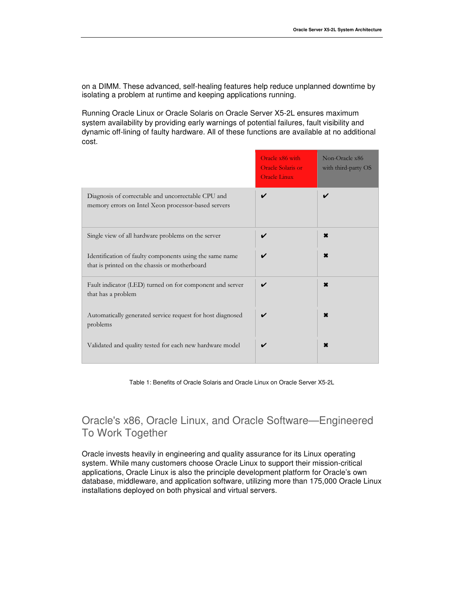on a DIMM. These advanced, self-healing features help reduce unplanned downtime by isolating a problem at runtime and keeping applications running.

Running Oracle Linux or Oracle Solaris on Oracle Server X5-2L ensures maximum system availability by providing early warnings of potential failures, fault visibility and dynamic off-lining of faulty hardware. All of these functions are available at no additional cost.

|                                                                                                           | Oracle x86 with<br><b>Oracle Solaris or</b><br><b>Oracle Linux</b> | Non-Oracle x86<br>with third-party OS |
|-----------------------------------------------------------------------------------------------------------|--------------------------------------------------------------------|---------------------------------------|
| Diagnosis of correctable and uncorrectable CPU and<br>memory errors on Intel Xeon processor-based servers | ✓                                                                  | ✔                                     |
| Single view of all hardware problems on the server                                                        |                                                                    | ×                                     |
| Identification of faulty components using the same name<br>that is printed on the chassis or motherboard  |                                                                    | ×                                     |
| Fault indicator (LED) turned on for component and server<br>that has a problem                            | ✓                                                                  | ×                                     |
| Automatically generated service request for host diagnosed<br>problems                                    |                                                                    | $\mathbf x$                           |
| Validated and quality tested for each new hardware model                                                  | ✓                                                                  | ×                                     |

Table 1: Benefits of Oracle Solaris and Oracle Linux on Oracle Server X5-2L

# Oracle's x86, Oracle Linux, and Oracle Software—Engineered To Work Together

Oracle invests heavily in engineering and quality assurance for its Linux operating system. While many customers choose Oracle Linux to support their mission-critical applications, Oracle Linux is also the principle development platform for Oracle's own database, middleware, and application software, utilizing more than 175,000 Oracle Linux installations deployed on both physical and virtual servers.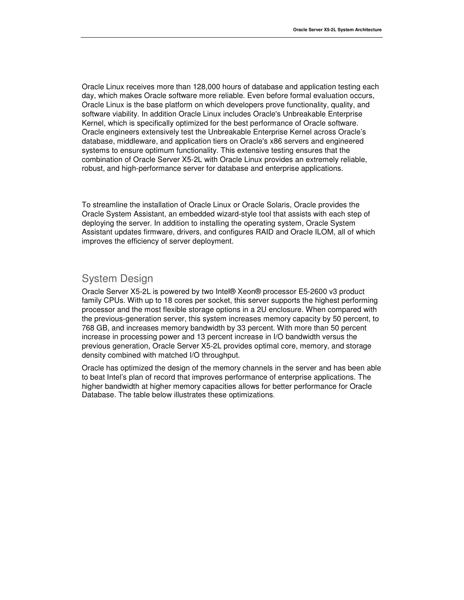Oracle Linux receives more than 128,000 hours of database and application testing each day, which makes Oracle software more reliable. Even before formal evaluation occurs, Oracle Linux is the base platform on which developers prove functionality, quality, and software viability. In addition Oracle Linux includes Oracle's Unbreakable Enterprise Kernel, which is specifically optimized for the best performance of Oracle software. Oracle engineers extensively test the Unbreakable Enterprise Kernel across Oracle's database, middleware, and application tiers on Oracle's x86 servers and engineered systems to ensure optimum functionality. This extensive testing ensures that the combination of Oracle Server X5-2L with Oracle Linux provides an extremely reliable, robust, and high-performance server for database and enterprise applications.

To streamline the installation of Oracle Linux or Oracle Solaris, Oracle provides the Oracle System Assistant, an embedded wizard-style tool that assists with each step of deploying the server. In addition to installing the operating system, Oracle System Assistant updates firmware, drivers, and configures RAID and Oracle ILOM, all of which improves the efficiency of server deployment.

# System Design

Oracle Server X5-2L is powered by two Intel® Xeon® processor E5-2600 v3 product family CPUs. With up to 18 cores per socket, this server supports the highest performing processor and the most flexible storage options in a 2U enclosure. When compared with the previous-generation server, this system increases memory capacity by 50 percent, to 768 GB, and increases memory bandwidth by 33 percent. With more than 50 percent increase in processing power and 13 percent increase in I/O bandwidth versus the previous generation, Oracle Server X5-2L provides optimal core, memory, and storage density combined with matched I/O throughput.

Oracle has optimized the design of the memory channels in the server and has been able to beat Intel's plan of record that improves performance of enterprise applications. The higher bandwidth at higher memory capacities allows for better performance for Oracle Database. The table below illustrates these optimizations.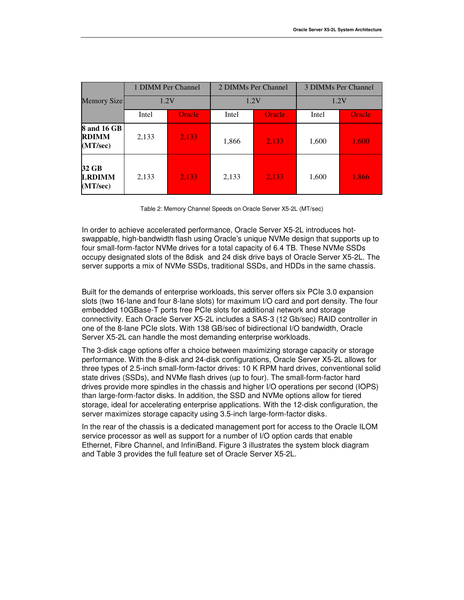|                                                | 1 DIMM Per Channel |               | 2 DIMMs Per Channel |        | 3 DIMMs Per Channel |               |
|------------------------------------------------|--------------------|---------------|---------------------|--------|---------------------|---------------|
| Memory Size                                    | 1.2V               |               | 1.2V                |        | 1.2V                |               |
|                                                | Intel              | <b>Oracle</b> | Intel               | Oracle | Intel               | <b>Oracle</b> |
| <b>8 and 16 GB</b><br><b>RDIMM</b><br>(MT/sec) | 2,133              | 2,133         | 1,866               | 2,133  | 1,600               | 1,600         |
| 32 GB<br><b>LRDIMM</b><br>(MT/sec)             | 2,133              | 2,133         | 2,133               | 2,133  | 1,600               | 1,866         |

Table 2: Memory Channel Speeds on Oracle Server X5-2L (MT/sec)

In order to achieve accelerated performance, Oracle Server X5-2L introduces hotswappable, high-bandwidth flash using Oracle's unique NVMe design that supports up to four small-form-factor NVMe drives for a total capacity of 6.4 TB. These NVMe SSDs occupy designated slots of the 8disk and 24 disk drive bays of Oracle Server X5-2L. The server supports a mix of NVMe SSDs, traditional SSDs, and HDDs in the same chassis.

Built for the demands of enterprise workloads, this server offers six PCIe 3.0 expansion slots (two 16-lane and four 8-lane slots) for maximum I/O card and port density. The four embedded 10GBase-T ports free PCIe slots for additional network and storage connectivity. Each Oracle Server X5-2L includes a SAS-3 (12 Gb/sec) RAID controller in one of the 8-lane PCIe slots. With 138 GB/sec of bidirectional I/O bandwidth, Oracle Server X5-2L can handle the most demanding enterprise workloads.

The 3-disk cage options offer a choice between maximizing storage capacity or storage performance. With the 8-disk and 24-disk configurations, Oracle Server X5-2L allows for three types of 2.5-inch small-form-factor drives: 10 K RPM hard drives, conventional solid state drives (SSDs), and NVMe flash drives (up to four). The small-form-factor hard drives provide more spindles in the chassis and higher I/O operations per second (IOPS) than large-form-factor disks. In addition, the SSD and NVMe options allow for tiered storage, ideal for accelerating enterprise applications. With the 12-disk configuration, the server maximizes storage capacity using 3.5-inch large-form-factor disks.

In the rear of the chassis is a dedicated management port for access to the Oracle ILOM service processor as well as support for a number of I/O option cards that enable Ethernet, Fibre Channel, and InfiniBand. Figure 3 illustrates the system block diagram and Table 3 provides the full feature set of Oracle Server X5-2L.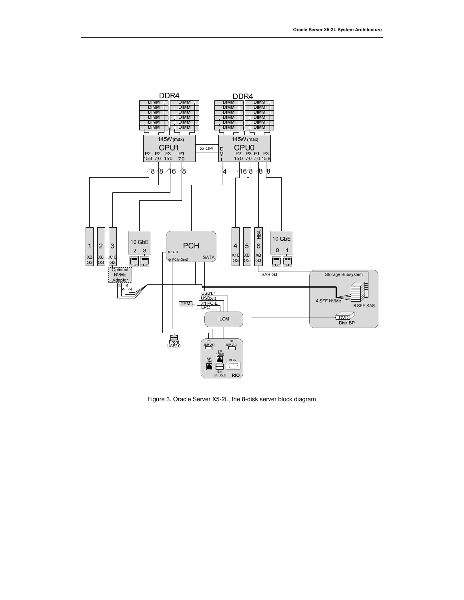

Figure 3. Oracle Server X5-2L, the 8-disk server block diagram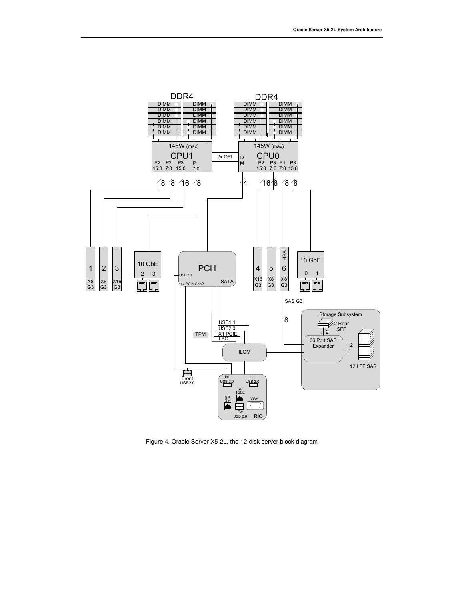

Figure 4. Oracle Server X5-2L, the 12-disk server block diagram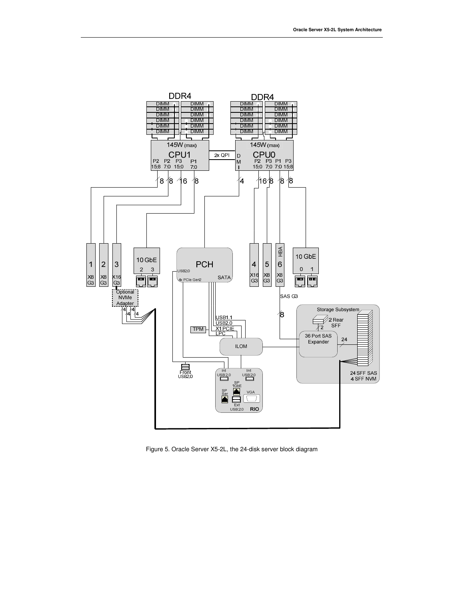

Figure 5. Oracle Server X5-2L, the 24-disk server block diagram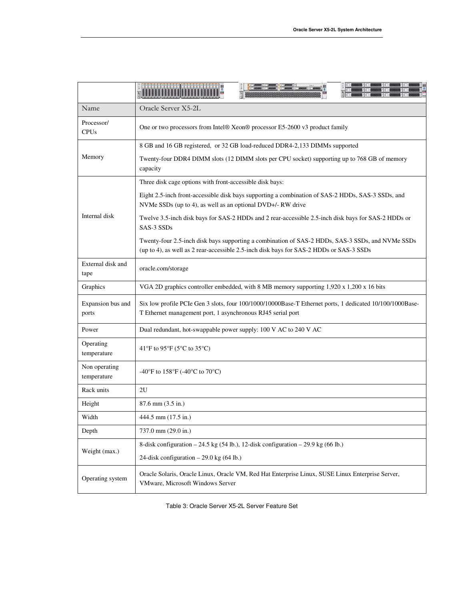|                              | <b>TE TE TE SE TE SE PODE DI 1999</b>                                                                                                                                                       |  |  |  |  |
|------------------------------|---------------------------------------------------------------------------------------------------------------------------------------------------------------------------------------------|--|--|--|--|
| Name                         | Oracle Server X5-2L                                                                                                                                                                         |  |  |  |  |
| Processor/<br><b>CPUs</b>    | One or two processors from Intel® Xeon® processor E5-2600 v3 product family                                                                                                                 |  |  |  |  |
| Memory                       | 8 GB and 16 GB registered, or 32 GB load-reduced DDR4-2,133 DIMMs supported                                                                                                                 |  |  |  |  |
|                              | Twenty-four DDR4 DIMM slots (12 DIMM slots per CPU socket) supporting up to 768 GB of memory<br>capacity                                                                                    |  |  |  |  |
| Internal disk                | Three disk cage options with front-accessible disk bays:                                                                                                                                    |  |  |  |  |
|                              | Eight 2.5-inch front-accessible disk bays supporting a combination of SAS-2 HDDs, SAS-3 SSDs, and<br>NVMe SSDs (up to 4), as well as an optional DVD+/- RW drive                            |  |  |  |  |
|                              | Twelve 3.5-inch disk bays for SAS-2 HDDs and 2 rear-accessible 2.5-inch disk bays for SAS-2 HDDs or<br>SAS-3 SSDs                                                                           |  |  |  |  |
|                              | Twenty-four 2.5-inch disk bays supporting a combination of SAS-2 HDDs, SAS-3 SSDs, and NVMe SSDs<br>(up to 4), as well as 2 rear-accessible 2.5-inch disk bays for SAS-2 HDDs or SAS-3 SSDs |  |  |  |  |
| External disk and<br>tape    | oracle.com/storage                                                                                                                                                                          |  |  |  |  |
| Graphics                     | VGA 2D graphics controller embedded, with 8 MB memory supporting 1,920 x 1,200 x 16 bits                                                                                                    |  |  |  |  |
| Expansion bus and<br>ports   | Six low profile PCIe Gen 3 slots, four 100/1000/10000Base-T Ethernet ports, 1 dedicated 10/100/1000Base-<br>T Ethernet management port, 1 asynchronous RJ45 serial port                     |  |  |  |  |
| Power                        | Dual redundant, hot-swappable power supply: 100 V AC to 240 V AC                                                                                                                            |  |  |  |  |
| Operating<br>temperature     | 41°F to 95°F (5°C to 35°C)                                                                                                                                                                  |  |  |  |  |
| Non operating<br>temperature | -40°F to 158°F (-40°C to 70°C)                                                                                                                                                              |  |  |  |  |
| Rack units                   | 2U                                                                                                                                                                                          |  |  |  |  |
| Height                       | 87.6 mm (3.5 in.)                                                                                                                                                                           |  |  |  |  |
| Width                        | 444.5 mm (17.5 in.)                                                                                                                                                                         |  |  |  |  |
| Depth                        | 737.0 mm (29.0 in.)                                                                                                                                                                         |  |  |  |  |
| Weight (max.)                | 8-disk configuration $-24.5$ kg (54 lb.), 12-disk configuration $-29.9$ kg (66 lb.)                                                                                                         |  |  |  |  |
|                              | 24-disk configuration $-29.0$ kg (64 lb.)                                                                                                                                                   |  |  |  |  |
| Operating system             | Oracle Solaris, Oracle Linux, Oracle VM, Red Hat Enterprise Linux, SUSE Linux Enterprise Server,<br>VMware, Microsoft Windows Server                                                        |  |  |  |  |

Table 3: Oracle Server X5-2L Server Feature Set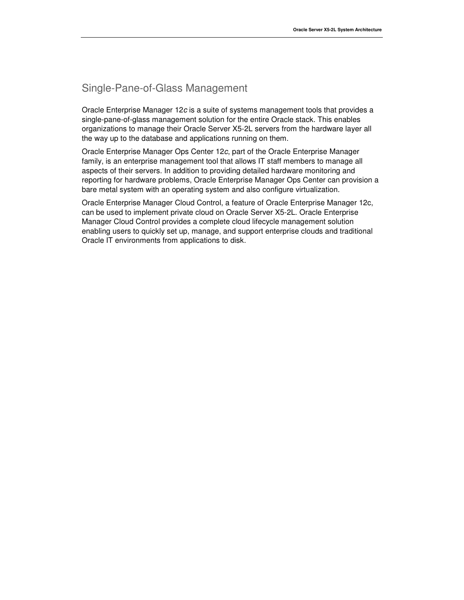# Single-Pane-of-Glass Management

Oracle Enterprise Manager 12c is a suite of systems management tools that provides a single-pane-of-glass management solution for the entire Oracle stack. This enables organizations to manage their Oracle Server X5-2L servers from the hardware layer all the way up to the database and applications running on them.

Oracle Enterprise Manager Ops Center 12c, part of the Oracle Enterprise Manager family, is an enterprise management tool that allows IT staff members to manage all aspects of their servers. In addition to providing detailed hardware monitoring and reporting for hardware problems, Oracle Enterprise Manager Ops Center can provision a bare metal system with an operating system and also configure virtualization.

Oracle Enterprise Manager Cloud Control, a feature of Oracle Enterprise Manager 12c, can be used to implement private cloud on Oracle Server X5-2L. Oracle Enterprise Manager Cloud Control provides a complete cloud lifecycle management solution enabling users to quickly set up, manage, and support enterprise clouds and traditional Oracle IT environments from applications to disk.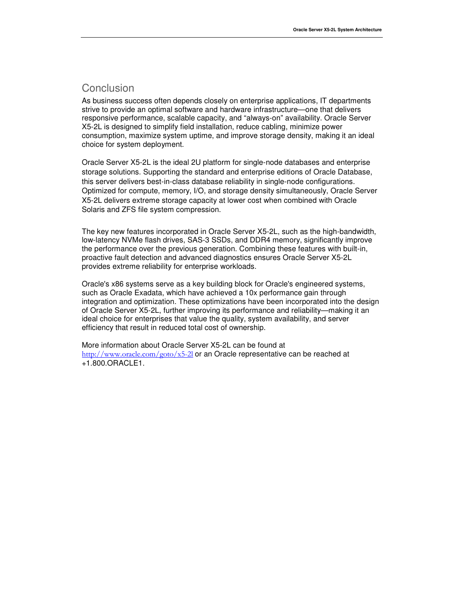### Conclusion

As business success often depends closely on enterprise applications, IT departments strive to provide an optimal software and hardware infrastructure—one that delivers responsive performance, scalable capacity, and "always-on" availability. Oracle Server X5-2L is designed to simplify field installation, reduce cabling, minimize power consumption, maximize system uptime, and improve storage density, making it an ideal choice for system deployment.

Oracle Server X5-2L is the ideal 2U platform for single-node databases and enterprise storage solutions. Supporting the standard and enterprise editions of Oracle Database, this server delivers best-in-class database reliability in single-node configurations. Optimized for compute, memory, I/O, and storage density simultaneously, Oracle Server X5-2L delivers extreme storage capacity at lower cost when combined with Oracle Solaris and ZFS file system compression.

The key new features incorporated in Oracle Server X5-2L, such as the high-bandwidth, low-latency NVMe flash drives, SAS-3 SSDs, and DDR4 memory, significantly improve the performance over the previous generation. Combining these features with built-in, proactive fault detection and advanced diagnostics ensures Oracle Server X5-2L provides extreme reliability for enterprise workloads.

Oracle's x86 systems serve as a key building block for Oracle's engineered systems, such as Oracle Exadata, which have achieved a 10x performance gain through integration and optimization. These optimizations have been incorporated into the design of Oracle Server X5-2L, further improving its performance and reliability—making it an ideal choice for enterprises that value the quality, system availability, and server efficiency that result in reduced total cost of ownership.

More information about Oracle Server X5-2L can be found at http://www.oracle.com/goto/x5-2l or an Oracle representative can be reached at +1.800.ORACLE1.